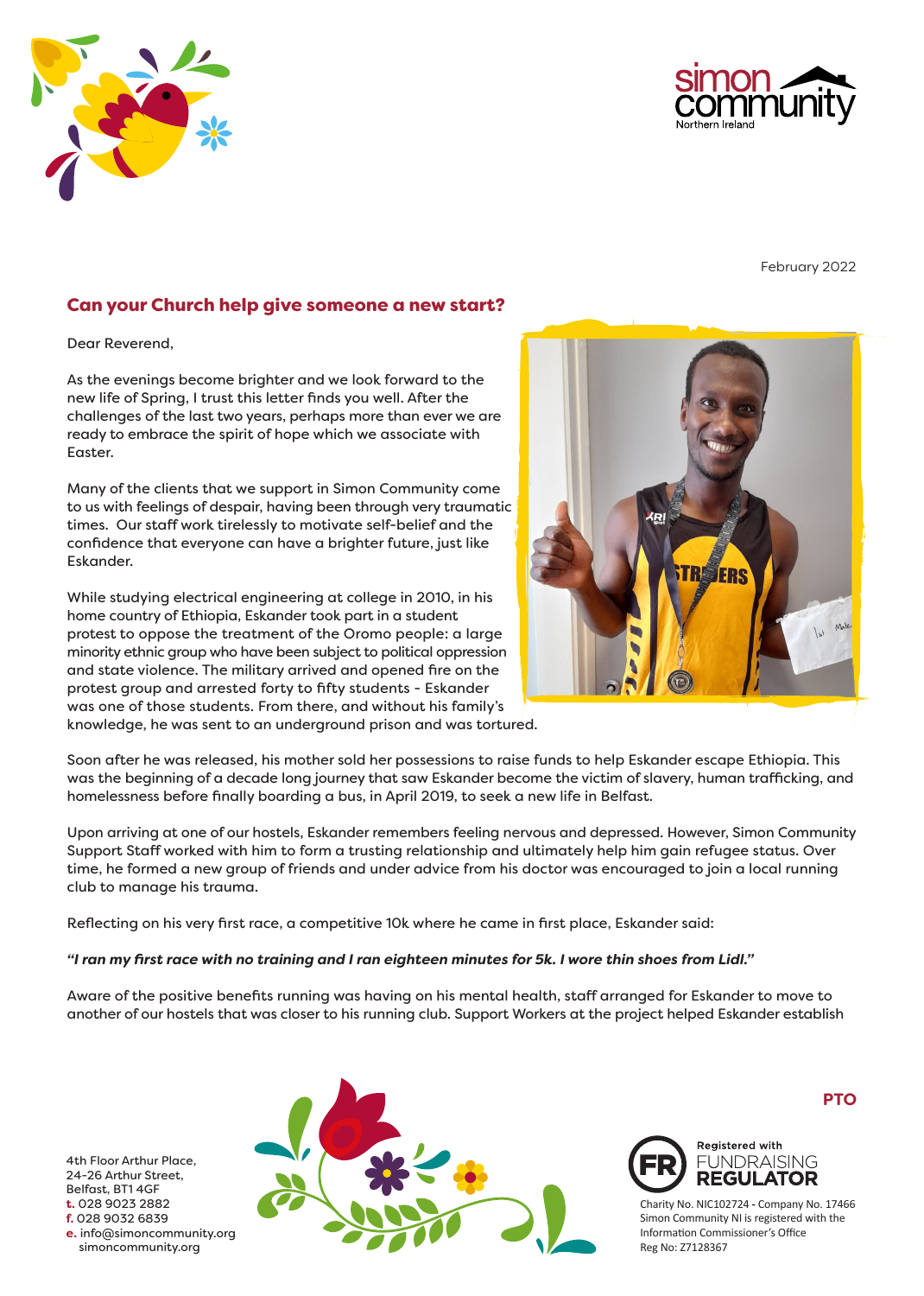



February 2022

# Can your Church help give someone a new start?

Dear Reverend,

As the evenings become brighter and we look forward to the new life of Spring, I trust this letter finds you well. After the challenges of the last two years, perhaps more than ever we are ready to embrace the spirit of hope which we associate with Easter.

Many of the clients that we support in Simon Community come to us with feelings of despair, having been through very traumatic times. Our staff work tirelessly to motivate self-belief and the confidence that everyone can have a brighter future, just like Eskander.

While studying electrical engineering at college in 2010, in his home country of Ethiopia, Eskander took part in a student protest to oppose the treatment of the Oromo people: a large minority ethnic group who have been subject to political oppression and state violence. The military arrived and opened fire on the protest group and arrested forty to fifty students - Eskander was one of those students. From there, and without his family's knowledge, he was sent to an underground prison and was tortured.



Soon after he was released, his mother sold her possessions to raise funds to help Eskander escape Ethiopia. This was the beginning of a decade long journey that saw Eskander become the victim of slavery, human trafficking, and homelessness before finally boarding a bus, in April 2019, to seek a new life in Belfast.

Upon arriving at one of our hostels, Eskander remembers feeling nervous and depressed. However, Simon Community Support Staff worked with him to form a trusting relationship and ultimately help him gain refugee status. Over time, he formed a new group of friends and under advice from his doctor was encouraged to join a local running club to manage his trauma.

Reflecting on his very first race, a competitive 10k where he came in first place, Eskander said:

#### *"I ran my first race with no training and I ran eighteen minutes for 5k. I wore thin shoes from Lidl."*

Aware of the positive benefits running was having on his mental health, staff arranged for Eskander to move to another of our hostels that was closer to his running club. Support Workers at the project helped Eskander establish

4th Floor Arthur Place, 24-26 Arthur Street, Belfast, BT1 4GF **t.** 028 9023 2882 **f.** 028 9032 6839 **e.** info@simoncommunity.org simoncommunity.org



**PTO**



Charity No. NIC102724 **-** Company No. 17466 Simon Community NI is registered with the Information Commissioner's Office Reg No: Z7128367